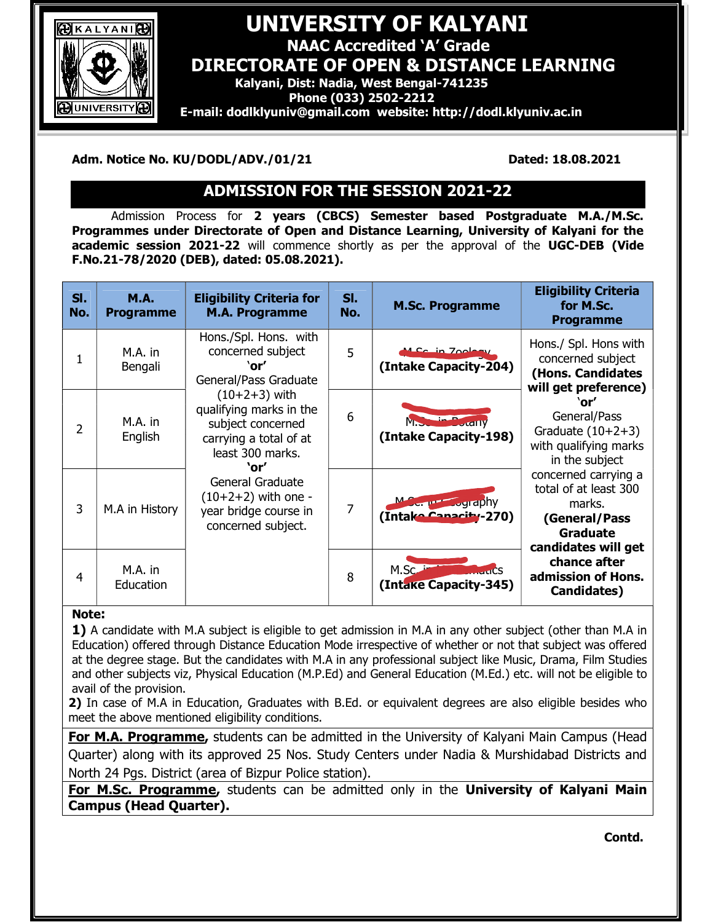

## `` UNIVERSITY OF KALYANI

NAAC Accredited 'A' Grade

DIRECTORATE OF OPEN & DISTANCE LEARNING

Kalyani, Dist: Nadia, West Bengal-741235

Phone (033) 2502-2212

 $\sqrt{\frac{1}{2}}$  E-mail: dodlklyuniv@gmail.com website: http://dodl.klyuniv.ac.in

Adm. Notice No. KU/DODL/ADV./01/21 Dated: 18.08.2021

# ADMISSION FOR THE SESSION 2021-22

Admission Process for 2 years (CBCS) Semester based Postgraduate M.A./M.Sc. Programmes under Directorate of Open and Distance Learning, University of Kalyani for the academic session 2021-22 will commence shortly as per the approval of the UGC-DEB (Vide F.No.21-78/2020 (DEB), dated: 05.08.2021).

| SI.<br>No. | <b>M.A.</b><br><b>Programme</b> | <b>Eligibility Criteria for</b><br><b>M.A. Programme</b>                                                      | SI.<br>No. | <b>M.Sc. Programme</b>                               | <b>Eligibility Criteria</b><br>for M.Sc.<br><b>Programme</b>                                                                                                                                                                                                                                                                                                 |
|------------|---------------------------------|---------------------------------------------------------------------------------------------------------------|------------|------------------------------------------------------|--------------------------------------------------------------------------------------------------------------------------------------------------------------------------------------------------------------------------------------------------------------------------------------------------------------------------------------------------------------|
| 1          | M.A. in<br>Bengali              | Hons./Spl. Hons. with<br>concerned subject<br>`or'<br>General/Pass Graduate                                   | 5          | M.Sc. in Zoology<br>(Intake Capacity-204)            | Hons./ Spl. Hons with<br>concerned subject<br>(Hons. Candidates<br>will get preference)<br>`or′<br>General/Pass<br>Graduate $(10+2+3)$<br>with qualifying marks<br>in the subject<br>concerned carrying a<br>total of at least 300<br>marks.<br>(General/Pass<br><b>Graduate</b><br>candidates will get<br>chance after<br>admission of Hons.<br>Candidates) |
| 2          | M.A. in<br>English              | $(10+2+3)$ with<br>qualifying marks in the<br>subject concerned<br>carrying a total of at<br>least 300 marks. | 6          | M. Junim Dorany<br>(Intake Capacity-198)             |                                                                                                                                                                                                                                                                                                                                                              |
| 3          | M.A in History                  | `or'<br>General Graduate<br>$(10+2+2)$ with one -<br>year bridge course in<br>concerned subject.              | 7          | M <sub>or</sub> provided by<br>(Intake Canacity-270) |                                                                                                                                                                                                                                                                                                                                                              |
| 4          | M.A. in<br>Education            |                                                                                                               | 8          | M.S<br>(Intake Capacity-345)                         |                                                                                                                                                                                                                                                                                                                                                              |

### Note:

1) A candidate with M.A subject is eligible to get admission in M.A in any other subject (other than M.A in Education) offered through Distance Education Mode irrespective of whether or not that subject was offered at the degree stage. But the candidates with M.A in any professional subject like Music, Drama, Film Studies and other subjects viz, Physical Education (M.P.Ed) and General Education (M.Ed.) etc. will not be eligible to avail of the provision.

2) In case of M.A in Education, Graduates with B.Ed. or equivalent degrees are also eligible besides who meet the above mentioned eligibility conditions.

For M.A. Programme, students can be admitted in the University of Kalyani Main Campus (Head Quarter) along with its approved 25 Nos. Study Centers under Nadia & Murshidabad Districts and North 24 Pgs. District (area of Bizpur Police station).

For M.Sc. Programme, students can be admitted only in the University of Kalyani Main Campus (Head Quarter).

Contd.